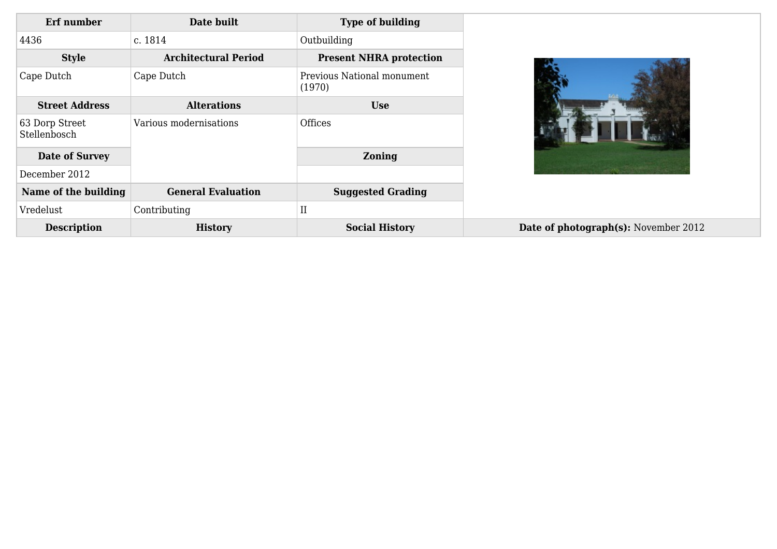| Erf number                     | Date built                  | <b>Type of building</b>              |
|--------------------------------|-----------------------------|--------------------------------------|
| 4436                           | c. 1814                     | Outbuilding                          |
| <b>Style</b>                   | <b>Architectural Period</b> | <b>Present NHRA protection</b>       |
| Cape Dutch                     | Cape Dutch                  | Previous National monument<br>(1970) |
| <b>Street Address</b>          | <b>Alterations</b>          | <b>Use</b>                           |
| 63 Dorp Street<br>Stellenbosch | Various modernisations      | Offices                              |
| <b>Date of Survey</b>          |                             | <b>Zoning</b>                        |
| December 2012                  |                             |                                      |
| Name of the building           | <b>General Evaluation</b>   | <b>Suggested Grading</b>             |
| Vredelust                      | Contributing                | II                                   |
| <b>Description</b>             | <b>History</b>              | <b>Social History</b>                |